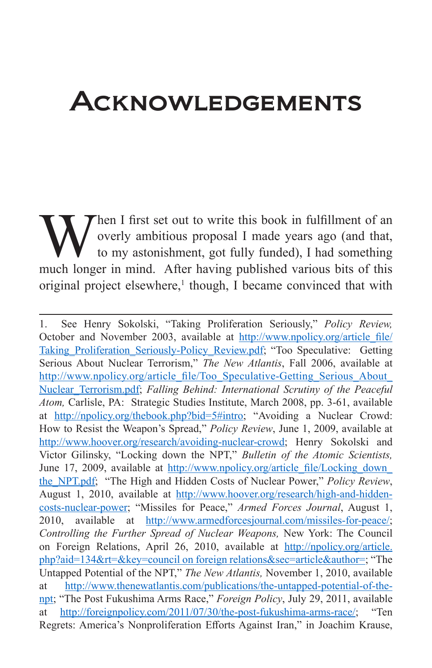## **ACKNOWLEDGEMENTS**

When I first set out to write this book in fulfillment of an overly ambitious proposal I made years ago (and that, to my astonishment, got fully funded), I had something much longer in mind. After having published various overly ambitious proposal I made years ago (and that, to my astonishment, got fully funded), I had something much longer in mind. After having published various bits of this original project elsewhere,<sup>1</sup> though, I became convinced that with

<sup>1.</sup> See Henry Sokolski, "Taking Proliferation Seriously," *Policy Review,*  October and November 2003, available at [http://www.npolicy.org/article\\_file/](http://www.npolicy.org/article_file/Taking_Proliferation_Seriously-Policy_Review.pdf) Taking Proliferation Seriously-Policy Review.pdf; "Too Speculative: Getting Serious About Nuclear Terrorism," *The New Atlantis*, Fall 2006, available at [http://www.npolicy.org/article\\_file/Too\\_Speculative-Getting\\_Serious\\_About\\_](http://www.npolicy.org/article_file/Too_Speculative-Getting_Serious_About_Nuclear_Terrorism.pdf) [Nuclear\\_Terrorism.pdf;](http://www.npolicy.org/article_file/Too_Speculative-Getting_Serious_About_Nuclear_Terrorism.pdf) *Falling Behind: International Scrutiny of the Peaceful Atom,* Carlisle, PA: Strategic Studies Institute, March 2008, pp. 3-61, available at <http://npolicy.org/thebook.php?bid=5#intro>; "Avoiding a Nuclear Crowd: How to Resist the Weapon's Spread," *Policy Review*, June 1, 2009, available at <http://www.hoover.org/research/avoiding-nuclear-crowd>; Henry Sokolski and Victor Gilinsky, "Locking down the NPT," *Bulletin of the Atomic Scientists,* June 17, 2009, available at http://www.npolicy.org/article file/Locking down [the\\_NPT.pdf](http://www.npolicy.org/article_file/Locking_down_the_NPT.pdf); "The High and Hidden Costs of Nuclear Power," *Policy Review*, August 1, 2010, available at [http://www.hoover.org/research/high-and-hidden](http://www.hoover.org/research/high-and-hidden-costs-nuclear-power)[costs-nuclear-power;](http://www.hoover.org/research/high-and-hidden-costs-nuclear-power) "Missiles for Peace," *Armed Forces Journal*, August 1, 2010, available at <http://www.armedforcesjournal.com/missiles-for-peace/>; *Controlling the Further Spread of Nuclear Weapons,* New York: The Council on Foreign Relations, April 26, 2010, available at [http://npolicy.org/article.](http://npolicy.org/article.php?aid=134&rt=&key=council on foreign relations&sec=article&author=) [php?aid=134&rt=&key=council on foreign relations&sec=article&author=](http://npolicy.org/article.php?aid=134&rt=&key=council on foreign relations&sec=article&author=); "The Untapped Potential of the NPT," *The New Atlantis,* November 1, 2010, available at [http://www.thenewatlantis.com/publications/the-untapped-potential-of-the](http://www.thenewatlantis.com/publications/the-untapped-potential-of-the-npt)[npt;](http://www.thenewatlantis.com/publications/the-untapped-potential-of-the-npt) "The Post Fukushima Arms Race," *Foreign Policy*, July 29, 2011, available at <http://foreignpolicy.com/2011/07/30/the-post-fukushima-arms-race/>; "Ten Regrets: America's Nonproliferation Efforts Against Iran," in Joachim Krause,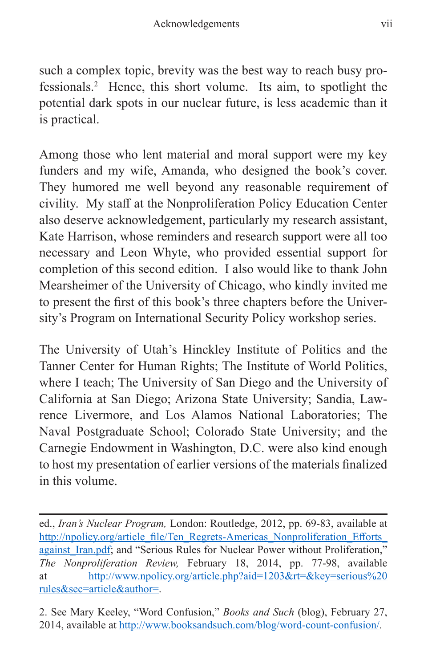such a complex topic, brevity was the best way to reach busy professionals.2 Hence, this short volume. Its aim, to spotlight the potential dark spots in our nuclear future, is less academic than it is practical.

Among those who lent material and moral support were my key funders and my wife, Amanda, who designed the book's cover. They humored me well beyond any reasonable requirement of civility. My staff at the Nonproliferation Policy Education Center also deserve acknowledgement, particularly my research assistant, Kate Harrison, whose reminders and research support were all too necessary and Leon Whyte, who provided essential support for completion of this second edition. I also would like to thank John Mearsheimer of the University of Chicago, who kindly invited me to present the first of this book's three chapters before the University's Program on International Security Policy workshop series.

The University of Utah's Hinckley Institute of Politics and the Tanner Center for Human Rights; The Institute of World Politics, where I teach; The University of San Diego and the University of California at San Diego; Arizona State University; Sandia, Lawrence Livermore, and Los Alamos National Laboratories; The Naval Postgraduate School; Colorado State University; and the Carnegie Endowment in Washington, D.C. were also kind enough to host my presentation of earlier versions of the materials finalized in this volume.

ed., *Iran's Nuclear Program,* London: Routledge, 2012, pp. 69-83, available at http://npolicy.org/article\_file/Ten\_Regrets-Americas\_Nonproliferation\_Efforts against Iran.pdf; and "Serious Rules for Nuclear Power without Proliferation," *The Nonproliferation Review,* February 18, 2014, pp. 77-98, available at [http://www.npolicy.org/article.php?aid=1203&rt=&key=serious%20](http://www.npolicy.org/article.php?aid=1203&rt=&key=serious%20rules&sec=article&author=) [rules&sec=article&author=.](http://www.npolicy.org/article.php?aid=1203&rt=&key=serious%20rules&sec=article&author=)

<sup>2.</sup> See Mary Keeley, "Word Confusion," *Books and Such* (blog), February 27, 2014, available at<http://www.booksandsuch.com/blog/word-count-confusion/>*.*